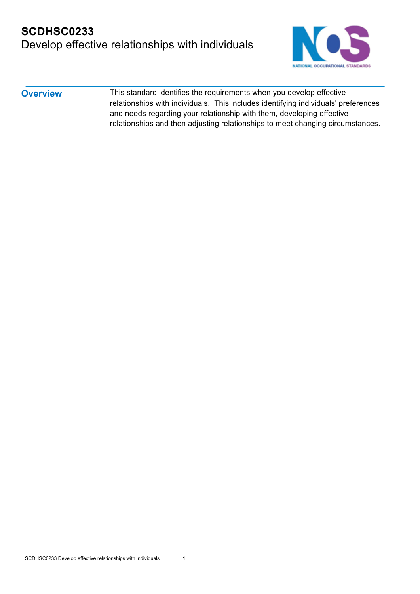## **SCDHSC0233**  Develop effective relationships with individuals



**Overview** This standard identifies the requirements when you develop effective relationships with individuals. This includes identifying individuals' preferences and needs regarding your relationship with them, developing effective relationships and then adjusting relationships to meet changing circumstances.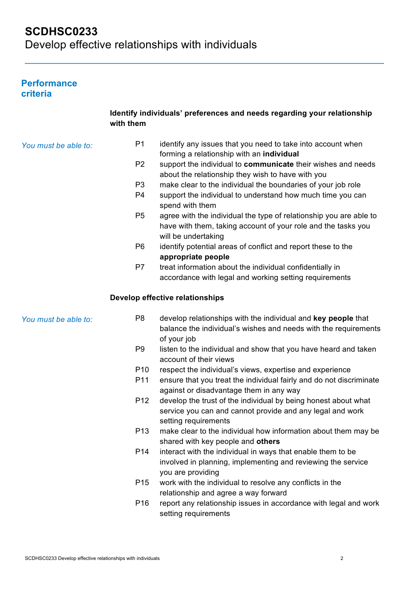### **Performance criteria**

|                      | with them       | Identify individuals' preferences and needs regarding your relationship                                                                                    |
|----------------------|-----------------|------------------------------------------------------------------------------------------------------------------------------------------------------------|
| You must be able to: | P <sub>1</sub>  | identify any issues that you need to take into account when<br>forming a relationship with an individual                                                   |
|                      | P <sub>2</sub>  | support the individual to communicate their wishes and needs<br>about the relationship they wish to have with you                                          |
|                      | P <sub>3</sub>  | make clear to the individual the boundaries of your job role                                                                                               |
|                      | P4              | support the individual to understand how much time you can<br>spend with them                                                                              |
|                      | P <sub>5</sub>  | agree with the individual the type of relationship you are able to<br>have with them, taking account of your role and the tasks you<br>will be undertaking |
|                      | P <sub>6</sub>  | identify potential areas of conflict and report these to the<br>appropriate people                                                                         |
|                      | P7              | treat information about the individual confidentially in<br>accordance with legal and working setting requirements                                         |
|                      |                 | Develop effective relationships                                                                                                                            |
| You must be able to: | P <sub>8</sub>  | develop relationships with the individual and key people that<br>balance the individual's wishes and needs with the requirements<br>of your job            |
|                      | P <sub>9</sub>  | listen to the individual and show that you have heard and taken<br>account of their views                                                                  |
|                      | P <sub>10</sub> | respect the individual's views, expertise and experience                                                                                                   |
|                      | P11             | ensure that you treat the individual fairly and do not discriminate<br>against or disadvantage them in any way                                             |
|                      | P <sub>12</sub> | develop the trust of the individual by being honest about what<br>service you can and cannot provide and any legal and work<br>setting requirements        |
|                      | P <sub>13</sub> | make clear to the individual how information about them may be<br>shared with key people and others                                                        |
|                      | P <sub>14</sub> | interact with the individual in ways that enable them to be<br>involved in planning, implementing and reviewing the service<br>you are providing           |
|                      | P <sub>15</sub> | work with the individual to resolve any conflicts in the<br>relationship and agree a way forward                                                           |
|                      | P <sub>16</sub> | report any relationship issues in accordance with legal and work<br>setting requirements                                                                   |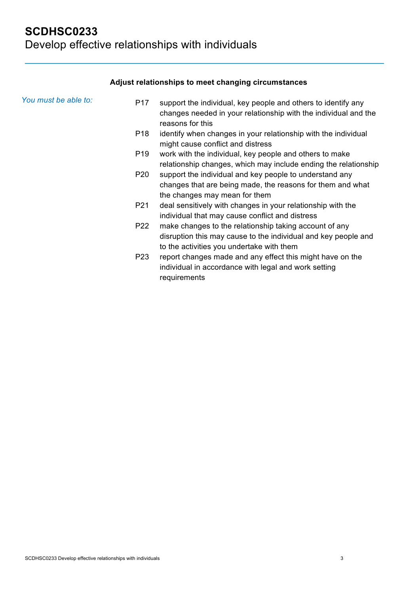### **Adjust relationships to meet changing circumstances**

| You must be able to: | P <sub>17</sub> | support the individual, key people and others to identify any<br>changes needed in your relationship with the individual and the<br>reasons for this                  |
|----------------------|-----------------|-----------------------------------------------------------------------------------------------------------------------------------------------------------------------|
|                      | P <sub>18</sub> | identify when changes in your relationship with the individual<br>might cause conflict and distress                                                                   |
|                      | P <sub>19</sub> | work with the individual, key people and others to make<br>relationship changes, which may include ending the relationship                                            |
|                      | P <sub>20</sub> | support the individual and key people to understand any<br>changes that are being made, the reasons for them and what<br>the changes may mean for them                |
|                      | P <sub>21</sub> | deal sensitively with changes in your relationship with the<br>individual that may cause conflict and distress                                                        |
|                      | P22             | make changes to the relationship taking account of any<br>disruption this may cause to the individual and key people and<br>to the activities you undertake with them |
|                      | P <sub>23</sub> | report changes made and any effect this might have on the<br>individual in accordance with legal and work setting<br>requirements                                     |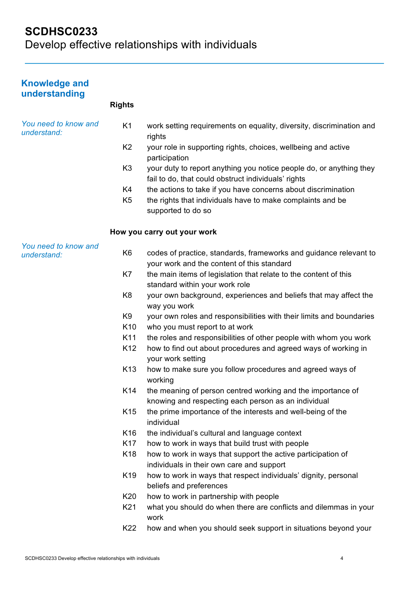# **SCDHSC0233**  Develop effective relationships with individuals

| <b>Knowledge and</b><br>understanding |                 |                                                                                                                            |
|---------------------------------------|-----------------|----------------------------------------------------------------------------------------------------------------------------|
|                                       | <b>Rights</b>   |                                                                                                                            |
| You need to know and<br>understand:   | K <sub>1</sub>  | work setting requirements on equality, diversity, discrimination and<br>rights                                             |
|                                       | K <sub>2</sub>  | your role in supporting rights, choices, wellbeing and active<br>participation                                             |
|                                       | K <sub>3</sub>  | your duty to report anything you notice people do, or anything they<br>fail to do, that could obstruct individuals' rights |
|                                       | K4              | the actions to take if you have concerns about discrimination                                                              |
|                                       | K <sub>5</sub>  | the rights that individuals have to make complaints and be<br>supported to do so                                           |
|                                       |                 | How you carry out your work                                                                                                |
| You need to know and<br>understand:   | K <sub>6</sub>  | codes of practice, standards, frameworks and guidance relevant to<br>your work and the content of this standard            |
|                                       | K7              | the main items of legislation that relate to the content of this<br>standard within your work role                         |
|                                       | K <sub>8</sub>  | your own background, experiences and beliefs that may affect the<br>way you work                                           |
|                                       | K <sub>9</sub>  | your own roles and responsibilities with their limits and boundaries                                                       |
|                                       | K <sub>10</sub> | who you must report to at work                                                                                             |
|                                       | K11             | the roles and responsibilities of other people with whom you work                                                          |
|                                       | K12             | how to find out about procedures and agreed ways of working in<br>your work setting                                        |
|                                       | K <sub>13</sub> | how to make sure you follow procedures and agreed ways of<br>working                                                       |
|                                       | K14             | the meaning of person centred working and the importance of<br>knowing and respecting each person as an individual         |
|                                       | K <sub>15</sub> | the prime importance of the interests and well-being of the<br>individual                                                  |
|                                       | K <sub>16</sub> | the individual's cultural and language context                                                                             |
|                                       | K17             | how to work in ways that build trust with people                                                                           |
|                                       | K <sub>18</sub> | how to work in ways that support the active participation of<br>individuals in their own care and support                  |
|                                       | K <sub>19</sub> | how to work in ways that respect individuals' dignity, personal<br>beliefs and preferences                                 |
|                                       | K20             | how to work in partnership with people                                                                                     |
|                                       | K21             | what you should do when there are conflicts and dilemmas in your<br>work                                                   |
|                                       | K22             | how and when you should seek support in situations beyond your                                                             |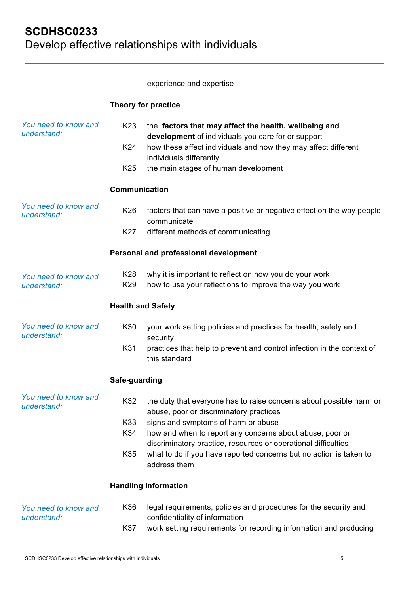experience and expertise

### **Theory for practice**

| You need to know and<br>understand: | K <sub>23</sub><br>K24<br>K <sub>25</sub><br>Communication | the factors that may affect the health, wellbeing and<br>development of individuals you care for or support<br>how these affect individuals and how they may affect different<br>individuals differently<br>the main stages of human development |
|-------------------------------------|------------------------------------------------------------|--------------------------------------------------------------------------------------------------------------------------------------------------------------------------------------------------------------------------------------------------|
|                                     |                                                            |                                                                                                                                                                                                                                                  |
| You need to know and<br>understand: | K26                                                        | factors that can have a positive or negative effect on the way people<br>communicate                                                                                                                                                             |
|                                     | K27                                                        | different methods of communicating                                                                                                                                                                                                               |
|                                     |                                                            | Personal and professional development                                                                                                                                                                                                            |
| You need to know and<br>understand: | K28<br>K29                                                 | why it is important to reflect on how you do your work<br>how to use your reflections to improve the way you work                                                                                                                                |
|                                     | <b>Health and Safety</b>                                   |                                                                                                                                                                                                                                                  |
| You need to know and<br>understand: | K30                                                        | your work setting policies and practices for health, safety and<br>security                                                                                                                                                                      |
|                                     | K31                                                        | practices that help to prevent and control infection in the context of<br>this standard                                                                                                                                                          |
|                                     | Safe-guarding                                              |                                                                                                                                                                                                                                                  |
| You need to know and<br>understand: | K32                                                        | the duty that everyone has to raise concerns about possible harm or<br>abuse, poor or discriminatory practices                                                                                                                                   |
|                                     | K33                                                        | signs and symptoms of harm or abuse                                                                                                                                                                                                              |
|                                     | K34                                                        | how and when to report any concerns about abuse, poor or<br>discriminatory practice, resources or operational difficulties                                                                                                                       |
|                                     | K35                                                        | what to do if you have reported concerns but no action is taken to<br>address them                                                                                                                                                               |
|                                     |                                                            | <b>Handling information</b>                                                                                                                                                                                                                      |
| You need to know and                | K36                                                        | legal requirements, policies and procedures for the security and                                                                                                                                                                                 |
| understand:                         | K37                                                        | confidentiality of information<br>work setting requirements for recording information and producing                                                                                                                                              |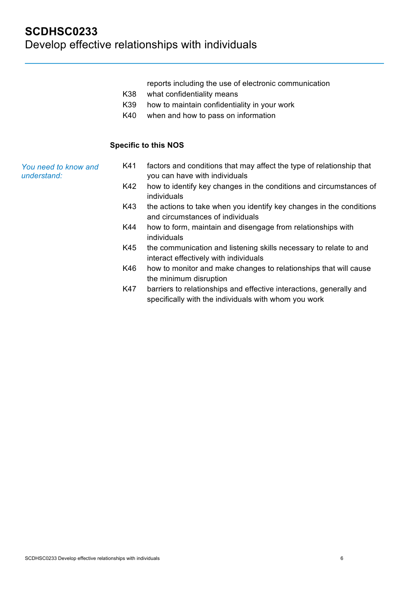reports including the use of electronic communication

- K38 what confidentiality means
- K39 how to maintain confidentiality in your work
- K40 when and how to pass on information

#### **Specific to this NOS**

| You need to know and | factors and conditions that may affect the type of relationship that |
|----------------------|----------------------------------------------------------------------|
| understand:          | you can have with individuals                                        |

- K42 how to identify key changes in the conditions and circumstances of individuals
- K43 the actions to take when you identify key changes in the conditions and circumstances of individuals
- K44 how to form, maintain and disengage from relationships with individuals
- K45 the communication and listening skills necessary to relate to and interact effectively with individuals
- K46 how to monitor and make changes to relationships that will cause the minimum disruption
- K47 barriers to relationships and effective interactions, generally and specifically with the individuals with whom you work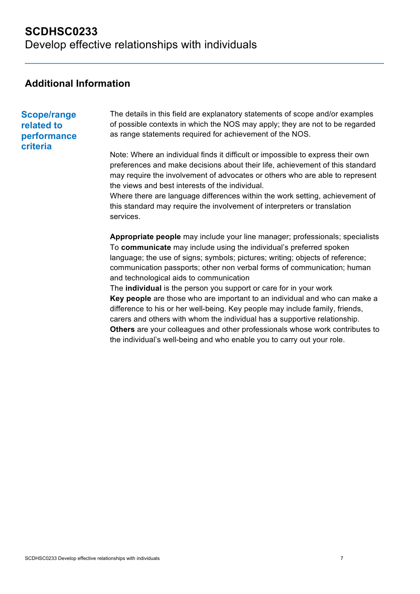## **Additional Information**

### **Scope/range related to performance criteria**

The details in this field are explanatory statements of scope and/or examples of possible contexts in which the NOS may apply; they are not to be regarded as range statements required for achievement of the NOS.

Note: Where an individual finds it difficult or impossible to express their own preferences and make decisions about their life, achievement of this standard may require the involvement of advocates or others who are able to represent the views and best interests of the individual.

Where there are language differences within the work setting, achievement of this standard may require the involvement of interpreters or translation services.

**Appropriate people** may include your line manager; professionals; specialists To **communicate** may include using the individual's preferred spoken language; the use of signs; symbols; pictures; writing; objects of reference; communication passports; other non verbal forms of communication; human and technological aids to communication

The **individual** is the person you support or care for in your work **Key people** are those who are important to an individual and who can make a difference to his or her well-being. Key people may include family, friends, carers and others with whom the individual has a supportive relationship. **Others** are your colleagues and other professionals whose work contributes to the individual's well-being and who enable you to carry out your role.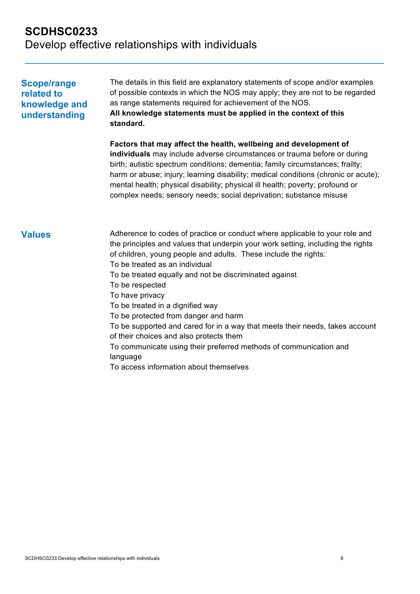# **SCDHSC0233**  Develop effective relationships with individuals

| <b>Scope/range</b><br>related to<br>knowledge and<br>understanding | The details in this field are explanatory statements of scope and/or examples<br>of possible contexts in which the NOS may apply; they are not to be regarded<br>as range statements required for achievement of the NOS.<br>All knowledge statements must be applied in the context of this<br>standard.                                                                                                                                                                                                                                                                                                                                                                                             |  |  |
|--------------------------------------------------------------------|-------------------------------------------------------------------------------------------------------------------------------------------------------------------------------------------------------------------------------------------------------------------------------------------------------------------------------------------------------------------------------------------------------------------------------------------------------------------------------------------------------------------------------------------------------------------------------------------------------------------------------------------------------------------------------------------------------|--|--|
|                                                                    | Factors that may affect the health, wellbeing and development of<br>individuals may include adverse circumstances or trauma before or during<br>birth; autistic spectrum conditions; dementia; family circumstances; frailty;<br>harm or abuse; injury; learning disability; medical conditions (chronic or acute);<br>mental health; physical disability; physical ill health; poverty; profound or<br>complex needs; sensory needs; social deprivation; substance misuse                                                                                                                                                                                                                            |  |  |
| <b>Values</b>                                                      | Adherence to codes of practice or conduct where applicable to your role and<br>the principles and values that underpin your work setting, including the rights<br>of children, young people and adults. These include the rights:<br>To be treated as an individual<br>To be treated equally and not be discriminated against<br>To be respected<br>To have privacy<br>To be treated in a dignified way<br>To be protected from danger and harm<br>To be supported and cared for in a way that meets their needs, takes account<br>of their choices and also protects them<br>To communicate using their preferred methods of communication and<br>language<br>To access information about themselves |  |  |